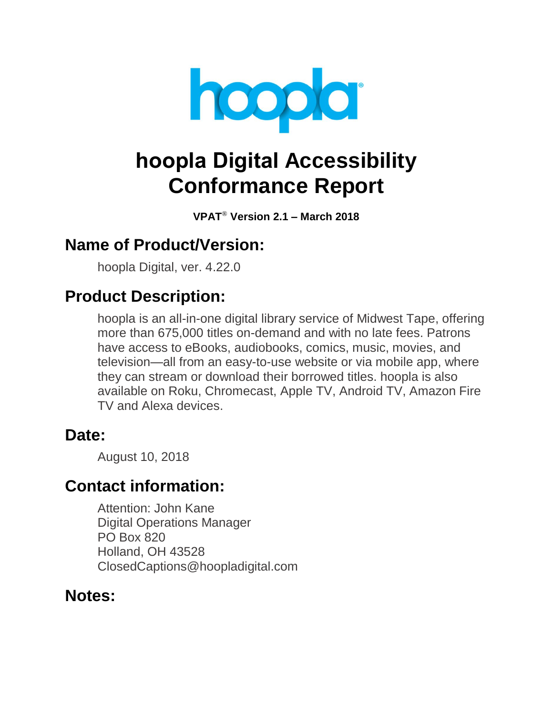

# **hoopla Digital Accessibility Conformance Report**

**VPAT**® **Version 2.1 – March 2018**

### **Name of Product/Version:**

hoopla Digital, ver. 4.22.0

## **Product Description:**

hoopla is an all-in-one digital library service of Midwest Tape, offering more than 675,000 titles on-demand and with no late fees. Patrons have access to eBooks, audiobooks, comics, music, movies, and television—all from an easy-to-use website or via mobile app, where they can stream or download their borrowed titles. hoopla is also available on Roku, Chromecast, Apple TV, Android TV, Amazon Fire TV and Alexa devices.

#### Date:

August 10, 2018

### **Contact information:**

Attention: John Kane Digital Operations Manager PO Box 820 Holland, OH 43528 ClosedCaptions@hoopladigital.com

### **Notes:**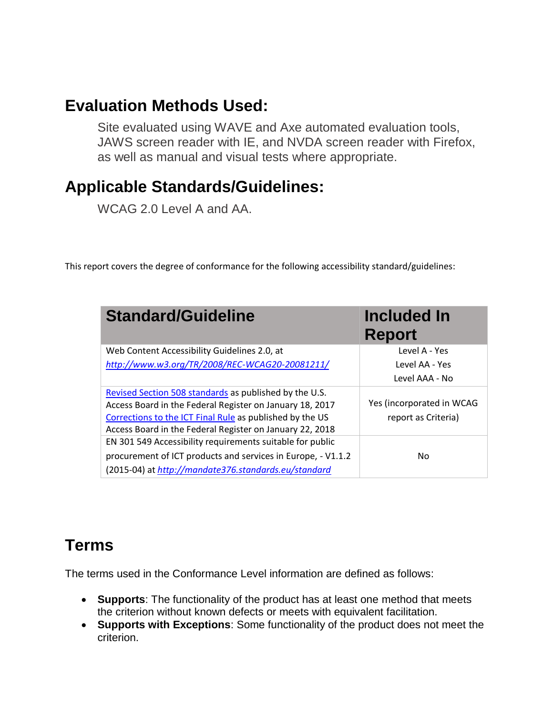### **Evaluation Methods Used:**

Site evaluated using WAVE and Axe automated evaluation tools, JAWS screen reader with IE, and NVDA screen reader with Firefox, as well as manual and visual tests where appropriate.

## **Applicable Standards/Guidelines:**

WCAG 2.0 Level A and AA.

This report covers the degree of conformance for the following accessibility standard/guidelines:

| <b>Standard/Guideline</b>                                                                                                                                                                                                                  | Included In<br><b>Report</b>                     |
|--------------------------------------------------------------------------------------------------------------------------------------------------------------------------------------------------------------------------------------------|--------------------------------------------------|
| Web Content Accessibility Guidelines 2.0, at                                                                                                                                                                                               | Level A - Yes                                    |
| http://www.w3.org/TR/2008/REC-WCAG20-20081211/                                                                                                                                                                                             | Level AA - Yes                                   |
|                                                                                                                                                                                                                                            | Level AAA - No                                   |
| Revised Section 508 standards as published by the U.S.<br>Access Board in the Federal Register on January 18, 2017<br>Corrections to the ICT Final Rule as published by the US<br>Access Board in the Federal Register on January 22, 2018 | Yes (incorporated in WCAG<br>report as Criteria) |
| EN 301 549 Accessibility requirements suitable for public<br>procurement of ICT products and services in Europe, - V1.1.2<br>(2015-04) at http://mandate376.standards.eu/standard                                                          | No.                                              |

## **Terms**

The terms used in the Conformance Level information are defined as follows:

- **Supports**: The functionality of the product has at least one method that meets the criterion without known defects or meets with equivalent facilitation.
- **Supports with Exceptions**: Some functionality of the product does not meet the criterion.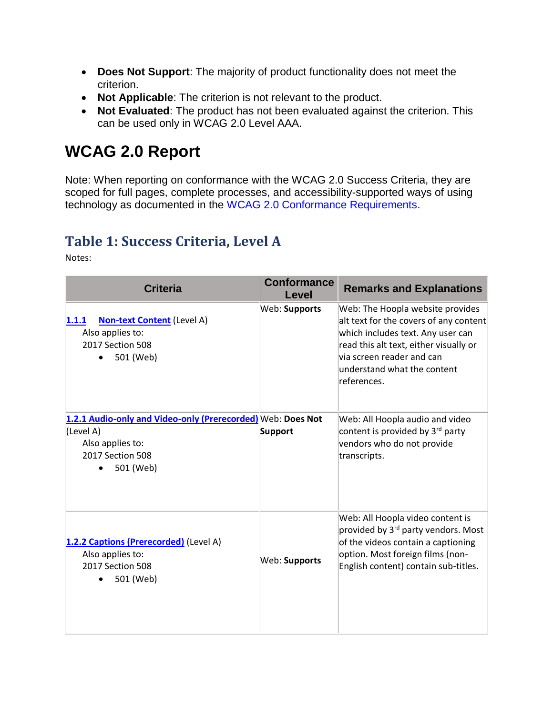- **Does Not Support**: The majority of product functionality does not meet the criterion.
- **Not Applicable**: The criterion is not relevant to the product.
- **Not Evaluated**: The product has not been evaluated against the criterion. This can be used only in WCAG 2.0 Level AAA.

## **WCAG 2.0 Report**

Note: When reporting on conformance with the WCAG 2.0 Success Criteria, they are scoped for full pages, complete processes, and accessibility-supported ways of using technology as documented in the [WCAG 2.0 Conformance Requirements.](https://www.w3.org/TR/WCAG20/#conformance-reqs)

#### **Table 1: Success Criteria, Level A**

Notes:

| <b>Criteria</b>                                                                                                               | <b>Conformance</b><br>Level | <b>Remarks and Explanations</b>                                                                                                                                                                                                      |
|-------------------------------------------------------------------------------------------------------------------------------|-----------------------------|--------------------------------------------------------------------------------------------------------------------------------------------------------------------------------------------------------------------------------------|
| <b>Non-text Content</b> (Level A)<br>1.1.1<br>Also applies to:<br>2017 Section 508<br>501 (Web)                               | Web: Supports               | Web: The Hoopla website provides<br>alt text for the covers of any content<br>which includes text. Any user can<br>read this alt text, either visually or<br>via screen reader and can<br>understand what the content<br>references. |
| 1.2.1 Audio-only and Video-only (Prerecorded) Web: Does Not<br>(Level A)<br>Also applies to:<br>2017 Section 508<br>501 (Web) | Support                     | Web: All Hoopla audio and video<br>content is provided by 3 <sup>rd</sup> party<br>vendors who do not provide<br>transcripts.                                                                                                        |
| 1.2.2 Captions (Prerecorded) (Level A)<br>Also applies to:<br>2017 Section 508<br>501 (Web)                                   | Web: Supports               | Web: All Hoopla video content is<br>provided by 3 <sup>rd</sup> party vendors. Most<br>of the videos contain a captioning<br>option. Most foreign films (non-<br>English content) contain sub-titles.                                |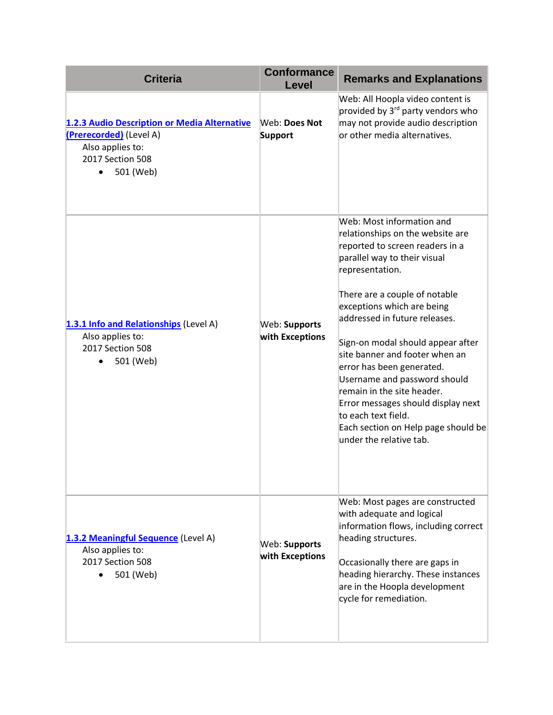| <b>Criteria</b>                                                                                                                           | <b>Conformance</b><br><b>Level</b> | <b>Remarks and Explanations</b>                                                                                                                                                                                                                                                                                                                                                                                                                                                                                                                      |
|-------------------------------------------------------------------------------------------------------------------------------------------|------------------------------------|------------------------------------------------------------------------------------------------------------------------------------------------------------------------------------------------------------------------------------------------------------------------------------------------------------------------------------------------------------------------------------------------------------------------------------------------------------------------------------------------------------------------------------------------------|
| 1.2.3 Audio Description or Media Alternative<br>(Prerecorded) (Level A)<br>Also applies to:<br>2017 Section 508<br>501 (Web)<br>$\bullet$ | Web: Does Not<br><b>Support</b>    | Web: All Hoopla video content is<br>provided by 3 <sup>rd</sup> party vendors who<br>may not provide audio description<br>or other media alternatives.                                                                                                                                                                                                                                                                                                                                                                                               |
| 1.3.1 Info and Relationships (Level A)<br>Also applies to:<br>2017 Section 508<br>501 (Web)<br>$\bullet$                                  | Web: Supports<br>with Exceptions   | Web: Most information and<br>relationships on the website are<br>reported to screen readers in a<br>parallel way to their visual<br>representation.<br>There are a couple of notable<br>exceptions which are being<br>addressed in future releases.<br>Sign-on modal should appear after<br>site banner and footer when an<br>error has been generated.<br>Username and password should<br>remain in the site header.<br>Error messages should display next<br>to each text field.<br>Each section on Help page should be<br>under the relative tab. |
| 1.3.2 Meaningful Sequence (Level A)<br>Also applies to:<br>2017 Section 508<br>501 (Web)                                                  | Web: Supports<br>with Exceptions   | Web: Most pages are constructed<br>with adequate and logical<br>information flows, including correct<br>heading structures.<br>Occasionally there are gaps in<br>heading hierarchy. These instances<br>are in the Hoopla development<br>cycle for remediation.                                                                                                                                                                                                                                                                                       |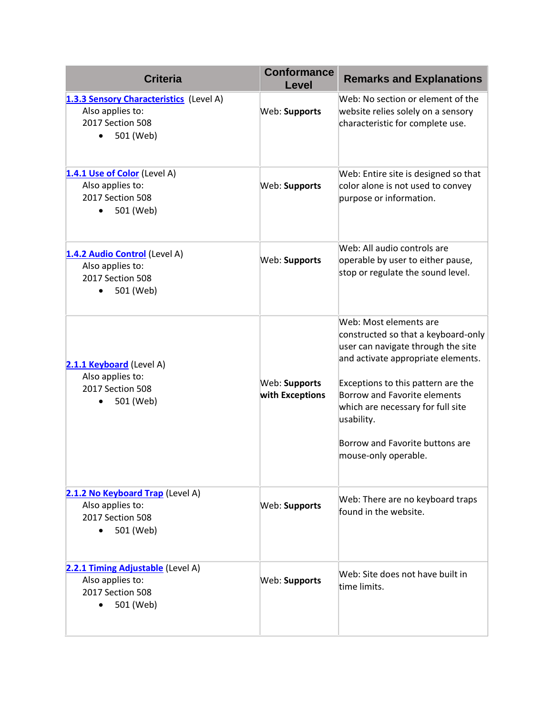| <b>Criteria</b>                                                                                     | <b>Conformance</b><br><b>Level</b> | <b>Remarks and Explanations</b>                                                                                                                                                                                                                                                                                               |
|-----------------------------------------------------------------------------------------------------|------------------------------------|-------------------------------------------------------------------------------------------------------------------------------------------------------------------------------------------------------------------------------------------------------------------------------------------------------------------------------|
| 1.3.3 Sensory Characteristics (Level A)<br>Also applies to:<br>2017 Section 508<br>501 (Web)        | Web: Supports                      | Web: No section or element of the<br>website relies solely on a sensory<br>characteristic for complete use.                                                                                                                                                                                                                   |
| 1.4.1 Use of Color (Level A)<br>Also applies to:<br>2017 Section 508<br>501 (Web)<br>$\bullet$      | Web: Supports                      | Web: Entire site is designed so that<br>color alone is not used to convey<br>purpose or information.                                                                                                                                                                                                                          |
| 1.4.2 Audio Control (Level A)<br>Also applies to:<br>2017 Section 508<br>501 (Web)<br>$\bullet$     | Web: Supports                      | Web: All audio controls are<br>operable by user to either pause,<br>stop or regulate the sound level.                                                                                                                                                                                                                         |
| 2.1.1 Keyboard (Level A)<br>Also applies to:<br>2017 Section 508<br>501 (Web)                       | Web: Supports<br>with Exceptions   | Web: Most elements are<br>constructed so that a keyboard-only<br>user can navigate through the site<br>and activate appropriate elements.<br>Exceptions to this pattern are the<br>Borrow and Favorite elements<br>which are necessary for full site<br>usability.<br>Borrow and Favorite buttons are<br>mouse-only operable. |
| 2.1.2 No Keyboard Trap (Level A)<br>Also applies to:<br>2017 Section 508<br>501 (Web)<br>$\bullet$  | Web: Supports                      | Web: There are no keyboard traps<br>found in the website.                                                                                                                                                                                                                                                                     |
| 2.2.1 Timing Adjustable (Level A)<br>Also applies to:<br>2017 Section 508<br>501 (Web)<br>$\bullet$ | Web: Supports                      | Web: Site does not have built in<br>time limits.                                                                                                                                                                                                                                                                              |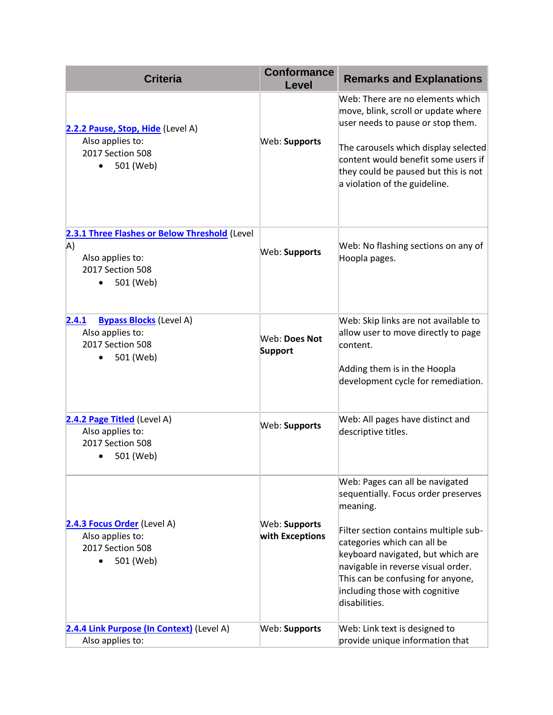| <b>Criteria</b>                                                                                          | <b>Conformance</b><br><b>Level</b> | <b>Remarks and Explanations</b>                                                                                                                                                                                                                                                                                               |
|----------------------------------------------------------------------------------------------------------|------------------------------------|-------------------------------------------------------------------------------------------------------------------------------------------------------------------------------------------------------------------------------------------------------------------------------------------------------------------------------|
| 2.2.2 Pause, Stop, Hide (Level A)<br>Also applies to:<br>2017 Section 508<br>501 (Web)<br>$\bullet$      | Web: Supports                      | Web: There are no elements which<br>move, blink, scroll or update where<br>user needs to pause or stop them.<br>The carousels which display selected<br>content would benefit some users if<br>they could be paused but this is not<br>a violation of the guideline.                                                          |
| 2.3.1 Three Flashes or Below Threshold (Level<br>A)<br>Also applies to:<br>2017 Section 508<br>501 (Web) | Web: Supports                      | Web: No flashing sections on any of<br>Hoopla pages.                                                                                                                                                                                                                                                                          |
| <b>Bypass Blocks</b> (Level A)<br>2.4.1<br>Also applies to:<br>2017 Section 508<br>501 (Web)             | Web: Does Not<br>Support           | Web: Skip links are not available to<br>allow user to move directly to page<br>content.<br>Adding them is in the Hoopla<br>development cycle for remediation.                                                                                                                                                                 |
| 2.4.2 Page Titled (Level A)<br>Also applies to:<br>2017 Section 508<br>501 (Web)                         | Web: Supports                      | Web: All pages have distinct and<br>descriptive titles.                                                                                                                                                                                                                                                                       |
| 2.4.3 Focus Order (Level A)<br>Also applies to:<br>2017 Section 508<br>501 (Web)<br>$\bullet$            | Web: Supports<br>with Exceptions   | Web: Pages can all be navigated<br>sequentially. Focus order preserves<br>meaning.<br>Filter section contains multiple sub-<br>categories which can all be<br>keyboard navigated, but which are<br>navigable in reverse visual order.<br>This can be confusing for anyone,<br>including those with cognitive<br>disabilities. |
| 2.4.4 Link Purpose (In Context) (Level A)<br>Also applies to:                                            | Web: Supports                      | Web: Link text is designed to<br>provide unique information that                                                                                                                                                                                                                                                              |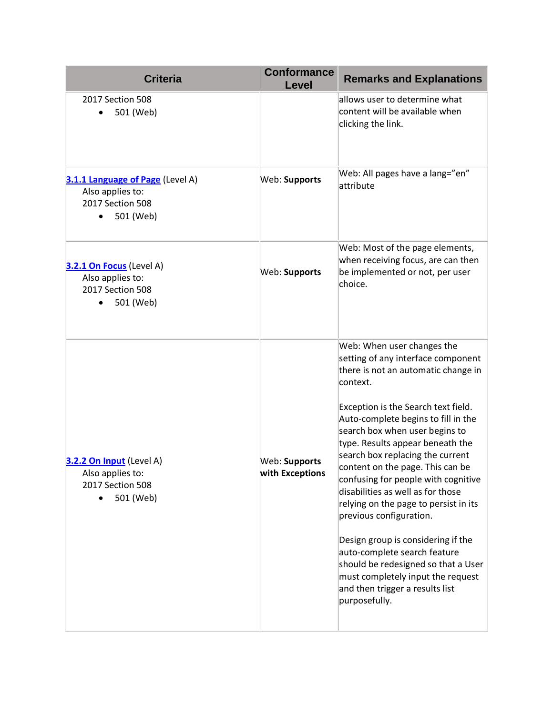| <b>Criteria</b>                                                                                    | <b>Conformance</b><br>Level      | <b>Remarks and Explanations</b>                                                                                                                                                                                                                                                                                                                                                                                                                                                                                                                                                                                                                                                                       |
|----------------------------------------------------------------------------------------------------|----------------------------------|-------------------------------------------------------------------------------------------------------------------------------------------------------------------------------------------------------------------------------------------------------------------------------------------------------------------------------------------------------------------------------------------------------------------------------------------------------------------------------------------------------------------------------------------------------------------------------------------------------------------------------------------------------------------------------------------------------|
| 2017 Section 508<br>501 (Web)                                                                      |                                  | allows user to determine what<br>content will be available when<br>clicking the link.                                                                                                                                                                                                                                                                                                                                                                                                                                                                                                                                                                                                                 |
| 3.1.1 Language of Page (Level A)<br>Also applies to:<br>2017 Section 508<br>501 (Web)<br>$\bullet$ | Web: Supports                    | Web: All pages have a lang="en"<br>attribute                                                                                                                                                                                                                                                                                                                                                                                                                                                                                                                                                                                                                                                          |
| 3.2.1 On Focus (Level A)<br>Also applies to:<br>2017 Section 508<br>501 (Web)                      | Web: Supports                    | Web: Most of the page elements,<br>when receiving focus, are can then<br>be implemented or not, per user<br>choice.                                                                                                                                                                                                                                                                                                                                                                                                                                                                                                                                                                                   |
| 3.2.2 On Input (Level A)<br>Also applies to:<br>2017 Section 508<br>501 (Web)                      | Web: Supports<br>with Exceptions | Web: When user changes the<br>setting of any interface component<br>there is not an automatic change in<br>context.<br>Exception is the Search text field.<br>Auto-complete begins to fill in the<br>search box when user begins to<br>type. Results appear beneath the<br>search box replacing the current<br>content on the page. This can be<br>confusing for people with cognitive<br>disabilities as well as for those<br>relying on the page to persist in its<br>previous configuration.<br>Design group is considering if the<br>auto-complete search feature<br>should be redesigned so that a User<br>must completely input the request<br>and then trigger a results list<br>purposefully. |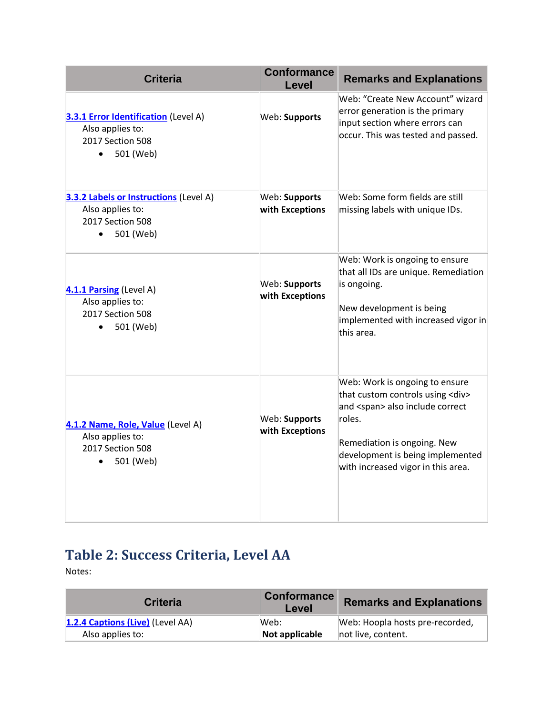| <b>Criteria</b>                                                                                               | <b>Conformance</b><br><b>Level</b> | <b>Remarks and Explanations</b>                                                                                                                                                                                                            |
|---------------------------------------------------------------------------------------------------------------|------------------------------------|--------------------------------------------------------------------------------------------------------------------------------------------------------------------------------------------------------------------------------------------|
| <b>3.3.1 Error Identification</b> (Level A)<br>Also applies to:<br>2017 Section 508<br>501 (Web)<br>$\bullet$ | Web: Supports                      | Web: "Create New Account" wizard<br>error generation is the primary<br>input section where errors can<br>occur. This was tested and passed.                                                                                                |
| 3.3.2 Labels or Instructions (Level A)<br>Also applies to:<br>2017 Section 508<br>501 (Web)<br>$\bullet$      | Web: Supports<br>with Exceptions   | Web: Some form fields are still<br>missing labels with unique IDs.                                                                                                                                                                         |
| 4.1.1 Parsing (Level A)<br>Also applies to:<br>2017 Section 508<br>501 (Web)<br>$\bullet$                     | Web: Supports<br>with Exceptions   | Web: Work is ongoing to ensure<br>that all IDs are unique. Remediation<br>is ongoing.<br>New development is being<br>implemented with increased vigor in<br>this area.                                                                     |
| 4.1.2 Name, Role, Value (Level A)<br>Also applies to:<br>2017 Section 508<br>501 (Web)<br>$\bullet$           | Web: Supports<br>with Exceptions   | Web: Work is ongoing to ensure<br>that custom controls using <div><br/>and <span> also include correct<br/>roles.<br/>Remediation is ongoing. New<br/>development is being implemented<br/>with increased vigor in this area.</span></div> |

## **Table 2: Success Criteria, Level AA**

Notes:

| <b>Criteria</b>                  | <b>Conformance</b><br>Level | <b>Remarks and Explanations</b> |
|----------------------------------|-----------------------------|---------------------------------|
| 1.2.4 Captions (Live) (Level AA) | lWeb:                       | Web: Hoopla hosts pre-recorded, |
| Also applies to:                 | Not applicable              | not live, content.              |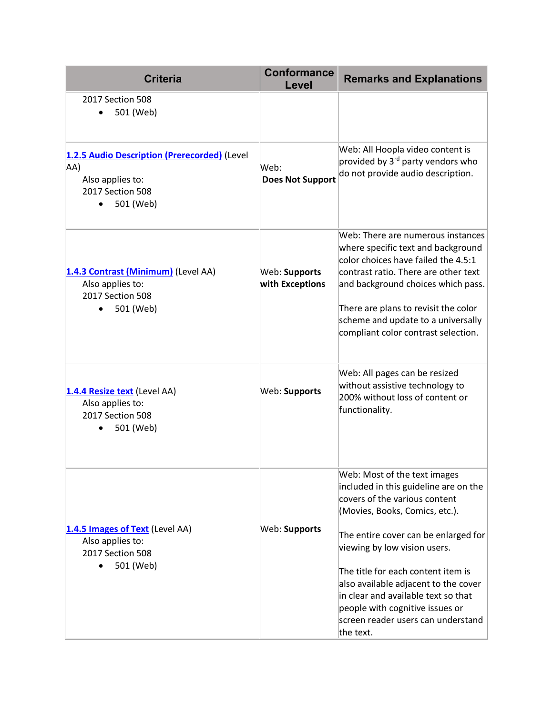| <b>Criteria</b>                                                                                                       | <b>Conformance</b><br>Level      | <b>Remarks and Explanations</b>                                                                                                                                                                                                                                                                                                                                                                                             |
|-----------------------------------------------------------------------------------------------------------------------|----------------------------------|-----------------------------------------------------------------------------------------------------------------------------------------------------------------------------------------------------------------------------------------------------------------------------------------------------------------------------------------------------------------------------------------------------------------------------|
| 2017 Section 508<br>501 (Web)                                                                                         |                                  |                                                                                                                                                                                                                                                                                                                                                                                                                             |
| 1.2.5 Audio Description (Prerecorded) (Level<br>AA)<br>Also applies to:<br>2017 Section 508<br>501 (Web)<br>$\bullet$ | Web:<br><b>Does Not Support</b>  | Web: All Hoopla video content is<br>provided by 3 <sup>rd</sup> party vendors who<br>do not provide audio description.                                                                                                                                                                                                                                                                                                      |
| 1.4.3 Contrast (Minimum) (Level AA)<br>Also applies to:<br>2017 Section 508<br>501 (Web)                              | Web: Supports<br>with Exceptions | Web: There are numerous instances<br>where specific text and background<br>color choices have failed the 4.5:1<br>contrast ratio. There are other text<br>and background choices which pass.<br>There are plans to revisit the color<br>scheme and update to a universally<br>compliant color contrast selection.                                                                                                           |
| 1.4.4 Resize text (Level AA)<br>Also applies to:<br>2017 Section 508<br>501 (Web)                                     | Web: Supports                    | Web: All pages can be resized<br>without assistive technology to<br>200% without loss of content or<br>functionality.                                                                                                                                                                                                                                                                                                       |
| 1.4.5 Images of Text (Level AA)<br>Also applies to:<br>2017 Section 508<br>501 (Web)                                  | Web: Supports                    | Web: Most of the text images<br>included in this guideline are on the<br>covers of the various content<br>(Movies, Books, Comics, etc.).<br>The entire cover can be enlarged for<br>viewing by low vision users.<br>The title for each content item is<br>also available adjacent to the cover<br>in clear and available text so that<br>people with cognitive issues or<br>screen reader users can understand<br>the text. |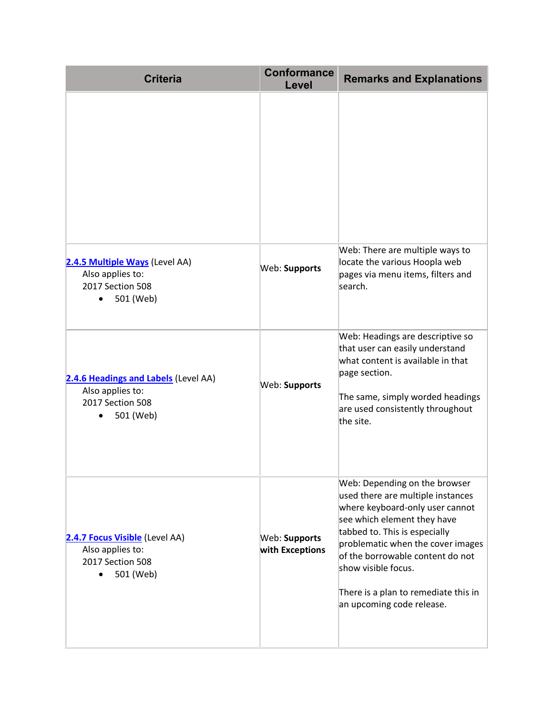| <b>Criteria</b>                                                                                        | <b>Conformance</b><br>Level      | <b>Remarks and Explanations</b>                                                                                                                                                                                                                                                                                                            |
|--------------------------------------------------------------------------------------------------------|----------------------------------|--------------------------------------------------------------------------------------------------------------------------------------------------------------------------------------------------------------------------------------------------------------------------------------------------------------------------------------------|
|                                                                                                        |                                  |                                                                                                                                                                                                                                                                                                                                            |
| 2.4.5 Multiple Ways (Level AA)<br>Also applies to:<br>2017 Section 508<br>501 (Web)<br>$\bullet$       | Web: Supports                    | Web: There are multiple ways to<br>locate the various Hoopla web<br>pages via menu items, filters and<br>search.                                                                                                                                                                                                                           |
| 2.4.6 Headings and Labels (Level AA)<br>Also applies to:<br>2017 Section 508<br>501 (Web)<br>$\bullet$ | Web: Supports                    | Web: Headings are descriptive so<br>that user can easily understand<br>what content is available in that<br>page section.<br>The same, simply worded headings<br>are used consistently throughout<br>the site.                                                                                                                             |
| 2.4.7 Focus Visible (Level AA)<br>Also applies to:<br>2017 Section 508<br>501 (Web)                    | Web: Supports<br>with Exceptions | Web: Depending on the browser<br>used there are multiple instances<br>where keyboard-only user cannot<br>see which element they have<br>tabbed to. This is especially<br>problematic when the cover images<br>of the borrowable content do not<br>show visible focus.<br>There is a plan to remediate this in<br>an upcoming code release. |